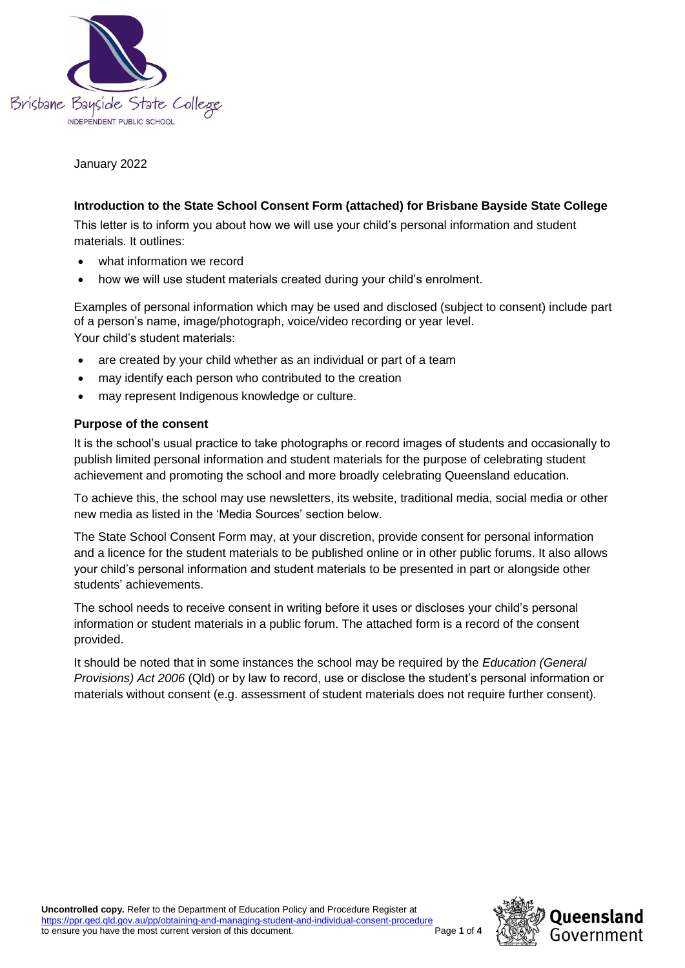

January 2022

## **Introduction to the State School Consent Form (attached) for Brisbane Bayside State College**

This letter is to inform you about how we will use your child's personal information and student materials. It outlines:

- what information we record
- how we will use student materials created during your child's enrolment.

Examples of personal information which may be used and disclosed (subject to consent) include part of a person's name, image/photograph, voice/video recording or year level. Your child's student materials:

- are created by your child whether as an individual or part of a team
- may identify each person who contributed to the creation
- may represent Indigenous knowledge or culture.

#### **Purpose of the consent**

It is the school's usual practice to take photographs or record images of students and occasionally to publish limited personal information and student materials for the purpose of celebrating student achievement and promoting the school and more broadly celebrating Queensland education.

To achieve this, the school may use newsletters, its website, traditional media, social media or other new media as listed in the 'Media Sources' section below.

The State School Consent Form may, at your discretion, provide consent for personal information and a licence for the student materials to be published online or in other public forums. It also allows your child's personal information and student materials to be presented in part or alongside other students' achievements.

The school needs to receive consent in writing before it uses or discloses your child's personal information or student materials in a public forum. The attached form is a record of the consent provided.

It should be noted that in some instances the school may be required by the *Education (General Provisions) Act 2006* (Qld) or by law to record, use or disclose the student's personal information or materials without consent (e.g. assessment of student materials does not require further consent).

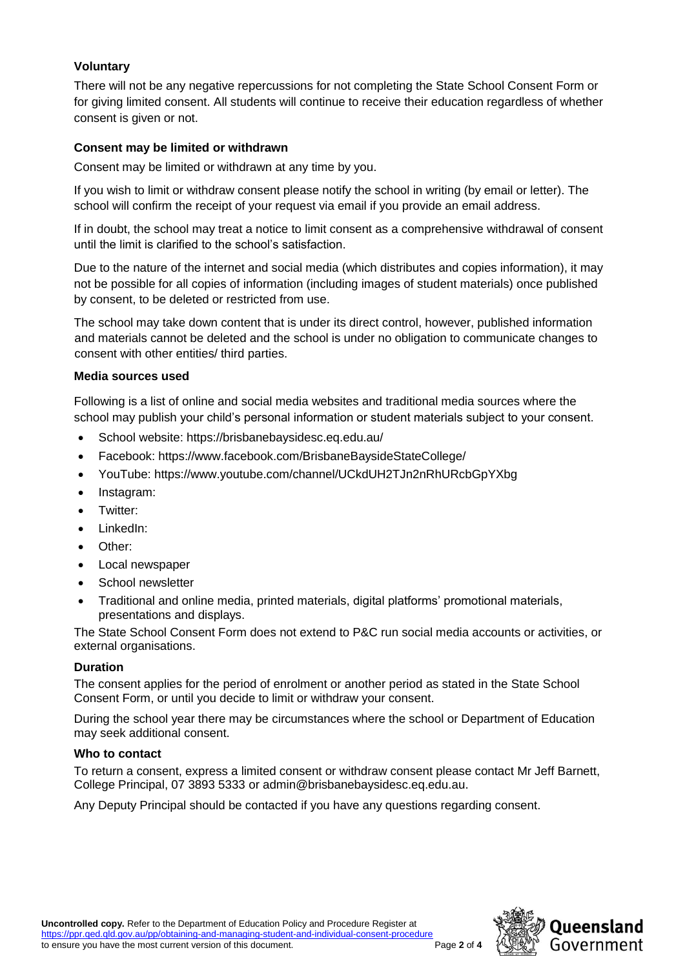## **Voluntary**

There will not be any negative repercussions for not completing the State School Consent Form or for giving limited consent. All students will continue to receive their education regardless of whether consent is given or not.

## **Consent may be limited or withdrawn**

Consent may be limited or withdrawn at any time by you.

If you wish to limit or withdraw consent please notify the school in writing (by email or letter). The school will confirm the receipt of your request via email if you provide an email address.

If in doubt, the school may treat a notice to limit consent as a comprehensive withdrawal of consent until the limit is clarified to the school's satisfaction.

Due to the nature of the internet and social media (which distributes and copies information), it may not be possible for all copies of information (including images of student materials) once published by consent, to be deleted or restricted from use.

The school may take down content that is under its direct control, however, published information and materials cannot be deleted and the school is under no obligation to communicate changes to consent with other entities/ third parties.

## **Media sources used**

Following is a list of online and social media websites and traditional media sources where the school may publish your child's personal information or student materials subject to your consent.

- School website: https://brisbanebaysidesc.eq.edu.au/
- Facebook: https://www.facebook.com/BrisbaneBaysideStateCollege/
- YouTube: https://www.youtube.com/channel/UCkdUH2TJn2nRhURcbGpYXbg
- Instagram:
- Twitter:
- LinkedIn:
- Other:
- Local newspaper
- School newsletter
- Traditional and online media, printed materials, digital platforms' promotional materials, presentations and displays.

The State School Consent Form does not extend to P&C run social media accounts or activities, or external organisations.

## **Duration**

The consent applies for the period of enrolment or another period as stated in the State School Consent Form, or until you decide to limit or withdraw your consent.

During the school year there may be circumstances where the school or Department of Education may seek additional consent.

## **Who to contact**

To return a consent, express a limited consent or withdraw consent please contact Mr Jeff Barnett, College Principal, 07 3893 5333 or admin@brisbanebaysidesc.eq.edu.au.

Any Deputy Principal should be contacted if you have any questions regarding consent.

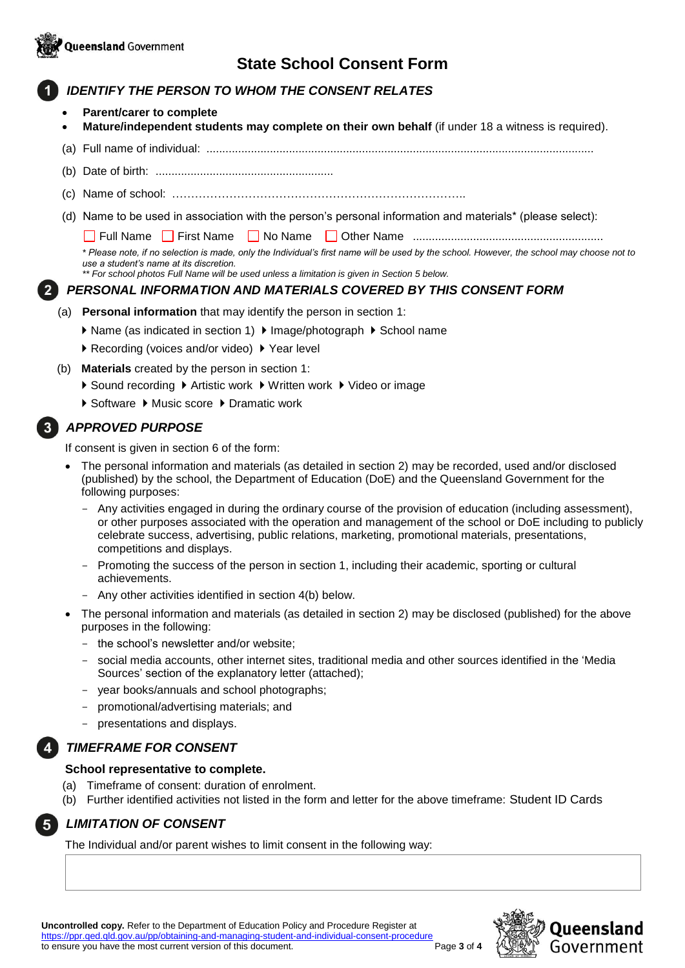

# **State School Consent Form**

# *IDENTIFY THE PERSON TO WHOM THE CONSENT RELATES*

- **Parent/carer to complete**
- **Mature/independent students may complete on their own behalf** (if under 18 a witness is required).
- (a) Full name of individual: ..........................................................................................................................
- (b) Date of birth: ........................................................
- (c) Name of school: …………………………………………………………………..
- (d) Name to be used in association with the person's personal information and materials\* (please select):

Full Name First Name No Name Other Name ............................................................

*\* Please note, if no selection is made, only the Individual's first name will be used by the school. However, the school may choose not to use a student's name at its discretion.*

*\*\* For school photos Full Name will be used unless a limitation is given in Section 5 below.*

## *PERSONAL INFORMATION AND MATERIALS COVERED BY THIS CONSENT FORM*

- (a) **Personal information** that may identify the person in section 1:
	- ▶ Name (as indicated in section 1) ▶ Image/photograph ▶ School name
	- ▶ Recording (voices and/or video) ▶ Year level
- (b) **Materials** created by the person in section 1:
	- ▶ Sound recording ▶ Artistic work ▶ Written work ▶ Video or image
	- ▶ Software ▶ Music score ▶ Dramatic work

## *APPROVED PURPOSE*

If consent is given in section 6 of the form:

- The personal information and materials (as detailed in section 2) may be recorded, used and/or disclosed (published) by the school, the Department of Education (DoE) and the Queensland Government for the following purposes:
	- Any activities engaged in during the ordinary course of the provision of education (including assessment), or other purposes associated with the operation and management of the school or DoE including to publicly celebrate success, advertising, public relations, marketing, promotional materials, presentations, competitions and displays.
	- Promoting the success of the person in section 1, including their academic, sporting or cultural achievements.
	- Any other activities identified in section 4(b) below.
- The personal information and materials (as detailed in section 2) may be disclosed (published) for the above purposes in the following:
	- the school's newsletter and/or website;
	- social media accounts, other internet sites, traditional media and other sources identified in the 'Media Sources' section of the explanatory letter (attached);
	- vear books/annuals and school photographs;
	- promotional/advertising materials; and
	- presentations and displays.

## *TIMEFRAME FOR CONSENT*

#### **School representative to complete.**

- (a) Timeframe of consent: duration of enrolment.
- (b) Further identified activities not listed in the form and letter for the above timeframe: Student ID Cards

## *LIMITATION OF CONSENT*

The Individual and/or parent wishes to limit consent in the following way:

**Uncontrolled copy.** Refer to the Department of Education Policy and Procedure Register at <https://ppr.qed.qld.gov.au/pp/obtaining-and-managing-student-and-individual-consent-procedure> to ensure you have the most current version of this document. Page **3** of **4**